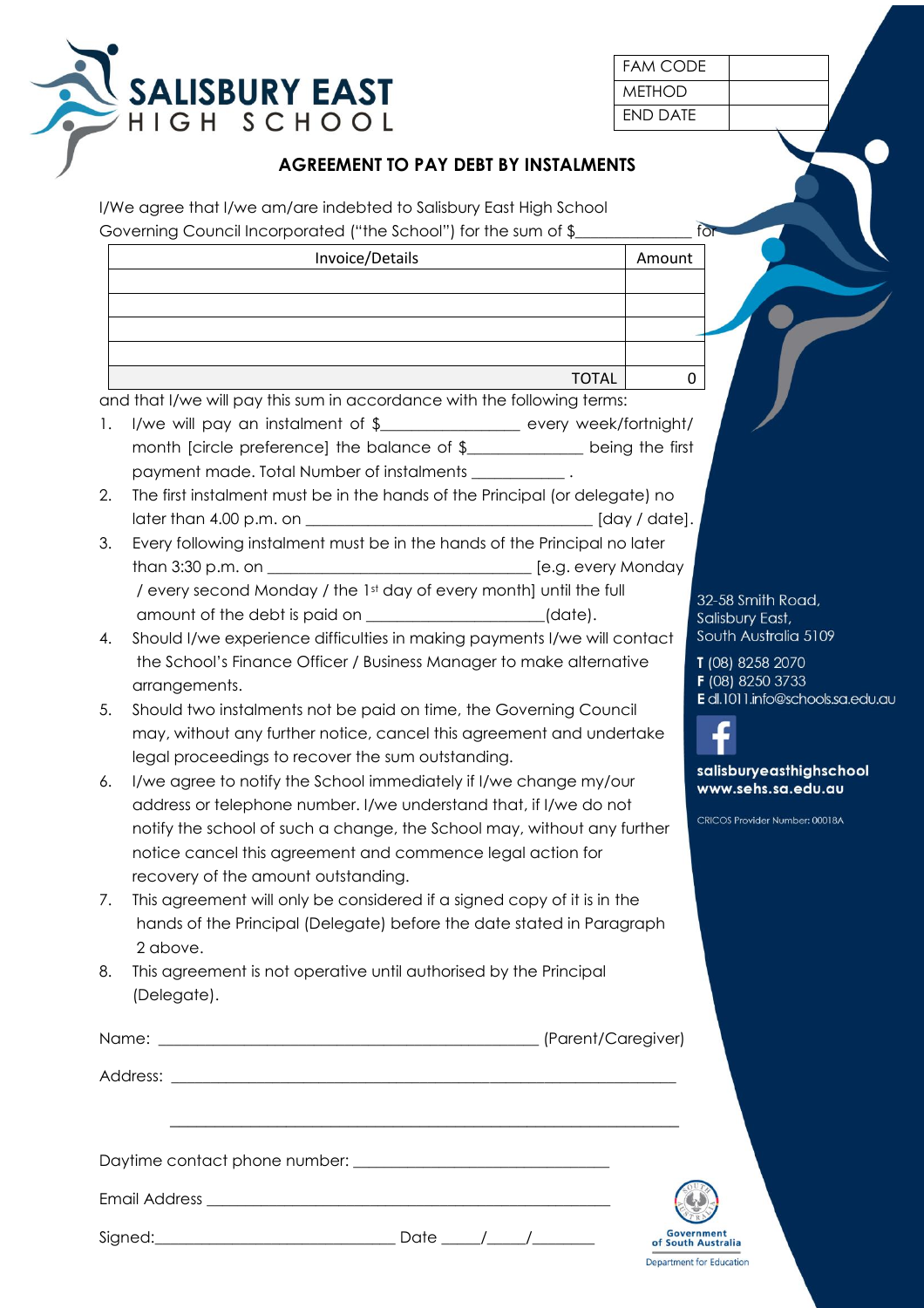

| FAM CODE |  |
|----------|--|
| MFTHOD   |  |
| FND DATF |  |

## **AGREEMENT TO PAY DEBT BY INSTALMENTS**

I/We agree that I/we am/are indebted to Salisbury East High School Governing Council Incorporated ("the School") for the sum of \$

|    | Invoice/Details                                                                                                                                                                                                  | Amount                                                       |
|----|------------------------------------------------------------------------------------------------------------------------------------------------------------------------------------------------------------------|--------------------------------------------------------------|
|    |                                                                                                                                                                                                                  |                                                              |
|    |                                                                                                                                                                                                                  |                                                              |
|    | <b>TOTAL</b>                                                                                                                                                                                                     | 0                                                            |
|    | and that I/we will pay this sum in accordance with the following terms:                                                                                                                                          |                                                              |
| 1. | I/we will pay an instalment of \$__________________ every week/fortnight/<br>month [circle preference] the balance of \$_____________ being the first<br>payment made. Total Number of instalments ____________. |                                                              |
| 2. | The first instalment must be in the hands of the Principal (or delegate) no                                                                                                                                      |                                                              |
| 3. | Every following instalment must be in the hands of the Principal no later                                                                                                                                        |                                                              |
|    |                                                                                                                                                                                                                  |                                                              |
|    | / every second Monday / the 1st day of every month] until the full<br>amount of the debt is paid on ___________________(date).                                                                                   | 32-58 Smith Road,<br>Salisbury East,                         |
| 4. | Should I/we experience difficulties in making payments I/we will contact<br>the School's Finance Officer / Business Manager to make alternative<br>arrangements.                                                 | South Australia 5109<br>T (08) 8258 2070<br>F (08) 8250 3733 |
| 5. | Should two instalments not be paid on time, the Governing Council                                                                                                                                                | E dl.1011.info@schools.sa.edu.au                             |
|    | may, without any further notice, cancel this agreement and undertake                                                                                                                                             |                                                              |
|    | legal proceedings to recover the sum outstanding.                                                                                                                                                                |                                                              |
| 6. | I/we agree to notify the School immediately if I/we change my/our                                                                                                                                                | salisburyeasthighschool                                      |
|    | address or telephone number. I/we understand that, if I/we do not                                                                                                                                                | www.sehs.sa.edu.au                                           |
|    | notify the school of such a change, the School may, without any further<br>notice cancel this agreement and commence legal action for                                                                            | CRICOS Provider Number: 00018A                               |
|    | recovery of the amount outstanding.                                                                                                                                                                              |                                                              |
| 7. | This agreement will only be considered if a signed copy of it is in the<br>hands of the Principal (Delegate) before the date stated in Paragraph<br>2 above.                                                     |                                                              |
| 8. | This agreement is not operative until authorised by the Principal<br>(Delegate).                                                                                                                                 |                                                              |
|    |                                                                                                                                                                                                                  |                                                              |
|    |                                                                                                                                                                                                                  |                                                              |
|    |                                                                                                                                                                                                                  |                                                              |
|    |                                                                                                                                                                                                                  |                                                              |
|    |                                                                                                                                                                                                                  |                                                              |
|    |                                                                                                                                                                                                                  | <b>Government</b><br>of South Australia                      |

**Department for Education**